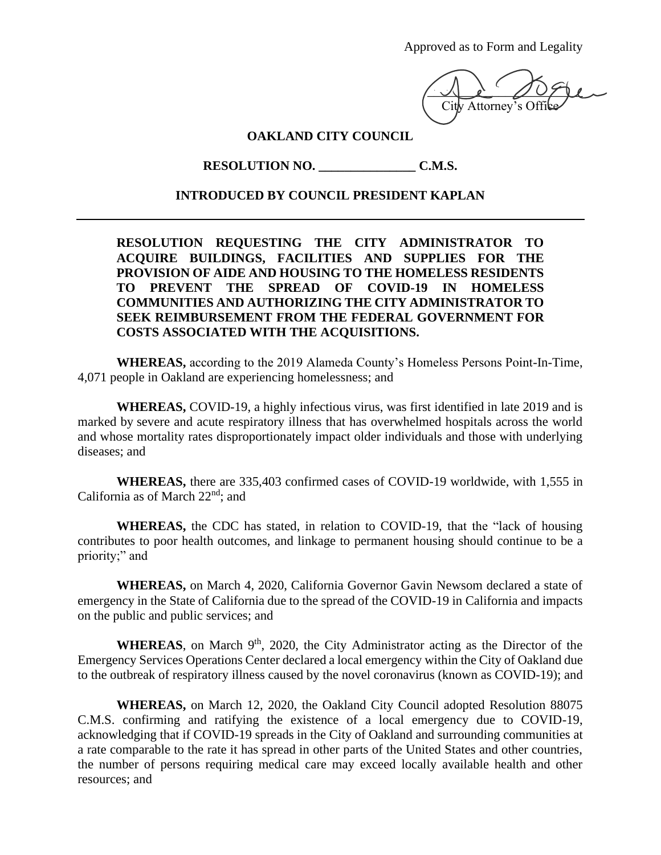Approved as to Form and Legality

 $\overline{\mathcal{L}}$ City Attorney's Off

## **OAKLAND CITY COUNCIL**

**RESOLUTION NO. \_\_\_\_\_\_\_\_\_\_\_\_\_\_\_ C.M.S.**

## **INTRODUCED BY COUNCIL PRESIDENT KAPLAN**

**RESOLUTION REQUESTING THE CITY ADMINISTRATOR TO ACQUIRE BUILDINGS, FACILITIES AND SUPPLIES FOR THE PROVISION OF AIDE AND HOUSING TO THE HOMELESS RESIDENTS TO PREVENT THE SPREAD OF COVID-19 IN HOMELESS COMMUNITIES AND AUTHORIZING THE CITY ADMINISTRATOR TO SEEK REIMBURSEMENT FROM THE FEDERAL GOVERNMENT FOR COSTS ASSOCIATED WITH THE ACQUISITIONS.**

**WHEREAS,** according to the 2019 Alameda County's Homeless Persons Point-In-Time, 4,071 people in Oakland are experiencing homelessness; and

**WHEREAS,** COVID-19, a highly infectious virus, was first identified in late 2019 and is marked by severe and acute respiratory illness that has overwhelmed hospitals across the world and whose mortality rates disproportionately impact older individuals and those with underlying diseases; and

**WHEREAS,** there are 335,403 confirmed cases of COVID-19 worldwide, with 1,555 in California as of March 22nd; and

**WHEREAS,** the CDC has stated, in relation to COVID-19, that the "lack of housing contributes to poor health outcomes, and linkage to permanent housing should continue to be a priority;" and

**WHEREAS,** on March 4, 2020, California Governor Gavin Newsom declared a state of emergency in the State of California due to the spread of the COVID-19 in California and impacts on the public and public services; and

WHEREAS, on March 9<sup>th</sup>, 2020, the City Administrator acting as the Director of the Emergency Services Operations Center declared a local emergency within the City of Oakland due to the outbreak of respiratory illness caused by the novel coronavirus (known as COVID-19); and

**WHEREAS,** on March 12, 2020, the Oakland City Council adopted Resolution 88075 C.M.S. confirming and ratifying the existence of a local emergency due to COVID-19, acknowledging that if COVID-19 spreads in the City of Oakland and surrounding communities at a rate comparable to the rate it has spread in other parts of the United States and other countries, the number of persons requiring medical care may exceed locally available health and other resources; and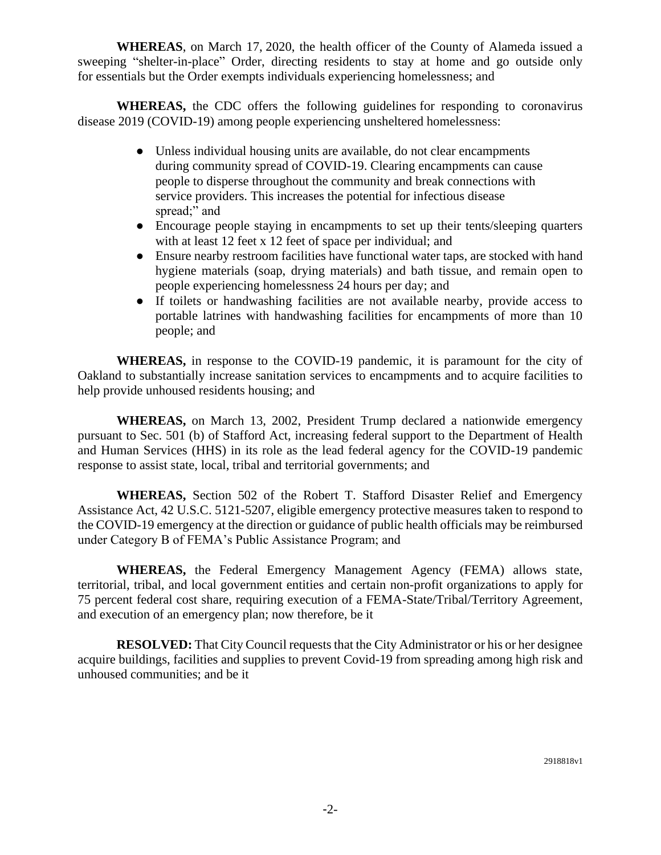**WHEREAS**, on March 17, 2020, the health officer of the County of Alameda issued a sweeping "shelter-in-place" Order, directing residents to stay at home and go outside only for essentials but the Order exempts individuals experiencing homelessness; and

**WHEREAS,** the CDC offers the following guidelines for responding to coronavirus disease 2019 (COVID-19) among people experiencing unsheltered homelessness:

- Unless individual housing units are available, do not clear encampments during community spread of COVID-19. Clearing encampments can cause people to disperse throughout the community and break connections with service providers. This increases the potential for infectious disease spread;" and
- Encourage people staying in encampments to set up their tents/sleeping quarters with at least 12 feet x 12 feet of space per individual; and
- Ensure nearby restroom facilities have functional water taps, are stocked with hand hygiene materials (soap, drying materials) and bath tissue, and remain open to people experiencing homelessness 24 hours per day; and
- If toilets or handwashing facilities are not available nearby, provide access to portable latrines with handwashing facilities for encampments of more than 10 people; and

**WHEREAS,** in response to the COVID-19 pandemic, it is paramount for the city of Oakland to substantially increase sanitation services to encampments and to acquire facilities to help provide unhoused residents housing; and

**WHEREAS,** on March 13, 2002, President Trump declared a nationwide emergency pursuant to Sec. 501 (b) of Stafford Act, increasing federal support to the Department of Health and Human Services (HHS) in its role as the lead federal agency for the COVID-19 pandemic response to assist state, local, tribal and territorial governments; and

**WHEREAS,** Section 502 of the Robert T. Stafford Disaster Relief and Emergency Assistance Act, 42 U.S.C. 5121-5207, eligible emergency protective measures taken to respond to the COVID-19 emergency at the direction or guidance of public health officials may be reimbursed under Category B of FEMA's Public Assistance Program; and

**WHEREAS,** the Federal Emergency Management Agency (FEMA) allows state, territorial, tribal, and local government entities and certain non-profit organizations to apply for 75 percent federal cost share, requiring execution of a FEMA-State/Tribal/Territory Agreement, and execution of an emergency plan; now therefore, be it

**RESOLVED:** That City Council requests that the City Administrator or his or her designee acquire buildings, facilities and supplies to prevent Covid-19 from spreading among high risk and unhoused communities; and be it